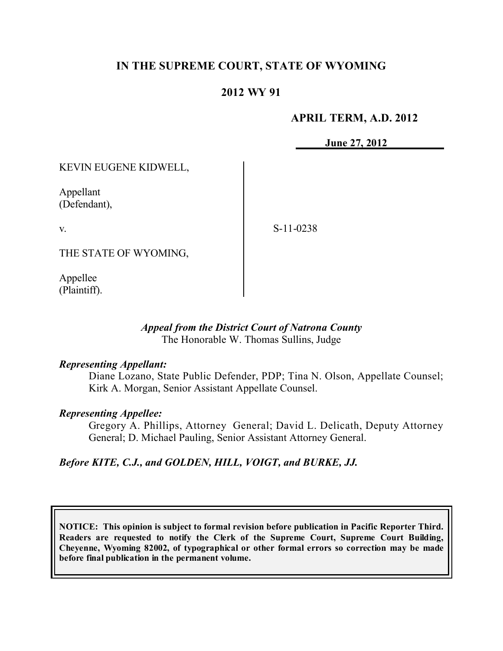## **IN THE SUPREME COURT, STATE OF WYOMING**

### **2012 WY 91**

### **APRIL TERM, A.D. 2012**

**June 27, 2012**

KEVIN EUGENE KIDWELL,

Appellant (Defendant),

v.

S-11-0238

THE STATE OF WYOMING,

Appellee (Plaintiff).

#### *Appeal from the District Court of Natrona County* The Honorable W. Thomas Sullins, Judge

#### *Representing Appellant:*

Diane Lozano, State Public Defender, PDP; Tina N. Olson, Appellate Counsel; Kirk A. Morgan, Senior Assistant Appellate Counsel.

# *Representing Appellee:*

Gregory A. Phillips, Attorney General; David L. Delicath, Deputy Attorney General; D. Michael Pauling, Senior Assistant Attorney General.

#### *Before KITE, C.J., and GOLDEN, HILL, VOIGT, and BURKE, JJ.*

**NOTICE: This opinion is subject to formal revision before publication in Pacific Reporter Third. Readers are requested to notify the Clerk of the Supreme Court, Supreme Court Building, Cheyenne, Wyoming 82002, of typographical or other formal errors so correction may be made before final publication in the permanent volume.**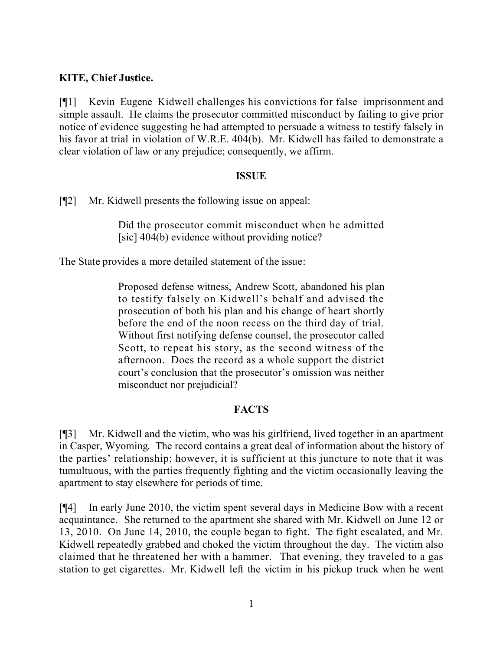### **KITE, Chief Justice.**

[¶1] Kevin Eugene Kidwell challenges his convictions for false imprisonment and simple assault. He claims the prosecutor committed misconduct by failing to give prior notice of evidence suggesting he had attempted to persuade a witness to testify falsely in his favor at trial in violation of W.R.E. 404(b). Mr. Kidwell has failed to demonstrate a clear violation of law or any prejudice; consequently, we affirm.

### **ISSUE**

[¶2] Mr. Kidwell presents the following issue on appeal:

Did the prosecutor commit misconduct when he admitted [sic] 404(b) evidence without providing notice?

The State provides a more detailed statement of the issue:

Proposed defense witness, Andrew Scott, abandoned his plan to testify falsely on Kidwell's behalf and advised the prosecution of both his plan and his change of heart shortly before the end of the noon recess on the third day of trial. Without first notifying defense counsel, the prosecutor called Scott, to repeat his story, as the second witness of the afternoon. Does the record as a whole support the district court's conclusion that the prosecutor's omission was neither misconduct nor prejudicial?

# **FACTS**

[¶3] Mr. Kidwell and the victim, who was his girlfriend, lived together in an apartment in Casper, Wyoming. The record contains a great deal of information about the history of the parties' relationship; however, it is sufficient at this juncture to note that it was tumultuous, with the parties frequently fighting and the victim occasionally leaving the apartment to stay elsewhere for periods of time.

[¶4] In early June 2010, the victim spent several days in Medicine Bow with a recent acquaintance. She returned to the apartment she shared with Mr. Kidwell on June 12 or 13, 2010. On June 14, 2010, the couple began to fight. The fight escalated, and Mr. Kidwell repeatedly grabbed and choked the victim throughout the day. The victim also claimed that he threatened her with a hammer. That evening, they traveled to a gas station to get cigarettes. Mr. Kidwell left the victim in his pickup truck when he went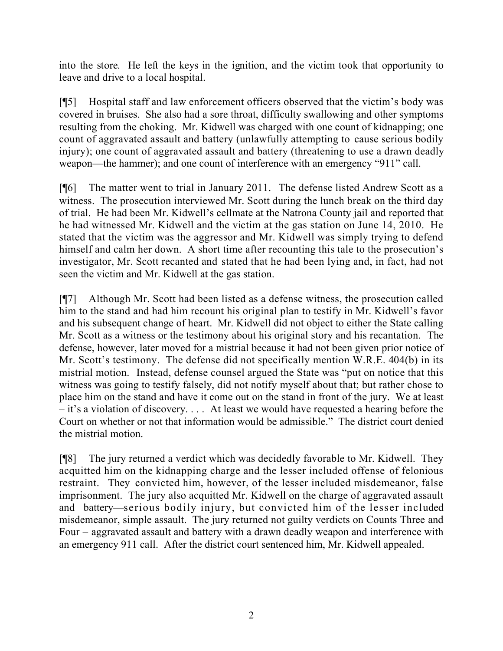into the store. He left the keys in the ignition, and the victim took that opportunity to leave and drive to a local hospital.

[¶5] Hospital staff and law enforcement officers observed that the victim's body was covered in bruises. She also had a sore throat, difficulty swallowing and other symptoms resulting from the choking. Mr. Kidwell was charged with one count of kidnapping; one count of aggravated assault and battery (unlawfully attempting to cause serious bodily injury); one count of aggravated assault and battery (threatening to use a drawn deadly weapon—the hammer); and one count of interference with an emergency "911" call.

[¶6] The matter went to trial in January 2011. The defense listed Andrew Scott as a witness. The prosecution interviewed Mr. Scott during the lunch break on the third day of trial. He had been Mr. Kidwell's cellmate at the Natrona County jail and reported that he had witnessed Mr. Kidwell and the victim at the gas station on June 14, 2010. He stated that the victim was the aggressor and Mr. Kidwell was simply trying to defend himself and calm her down. A short time after recounting this tale to the prosecution's investigator, Mr. Scott recanted and stated that he had been lying and, in fact, had not seen the victim and Mr. Kidwell at the gas station.

[¶7] Although Mr. Scott had been listed as a defense witness, the prosecution called him to the stand and had him recount his original plan to testify in Mr. Kidwell's favor and his subsequent change of heart. Mr. Kidwell did not object to either the State calling Mr. Scott as a witness or the testimony about his original story and his recantation. The defense, however, later moved for a mistrial because it had not been given prior notice of Mr. Scott's testimony. The defense did not specifically mention W.R.E. 404(b) in its mistrial motion. Instead, defense counsel argued the State was "put on notice that this witness was going to testify falsely, did not notify myself about that; but rather chose to place him on the stand and have it come out on the stand in front of the jury. We at least – it's a violation of discovery. . . . At least we would have requested a hearing before the Court on whether or not that information would be admissible." The district court denied the mistrial motion.

[¶8] The jury returned a verdict which was decidedly favorable to Mr. Kidwell. They acquitted him on the kidnapping charge and the lesser included offense of felonious restraint. They convicted him, however, of the lesser included misdemeanor, false imprisonment. The jury also acquitted Mr. Kidwell on the charge of aggravated assault and battery—serious bodily injury, but convicted him of the lesser included misdemeanor, simple assault. The jury returned not guilty verdicts on Counts Three and Four – aggravated assault and battery with a drawn deadly weapon and interference with an emergency 911 call. After the district court sentenced him, Mr. Kidwell appealed.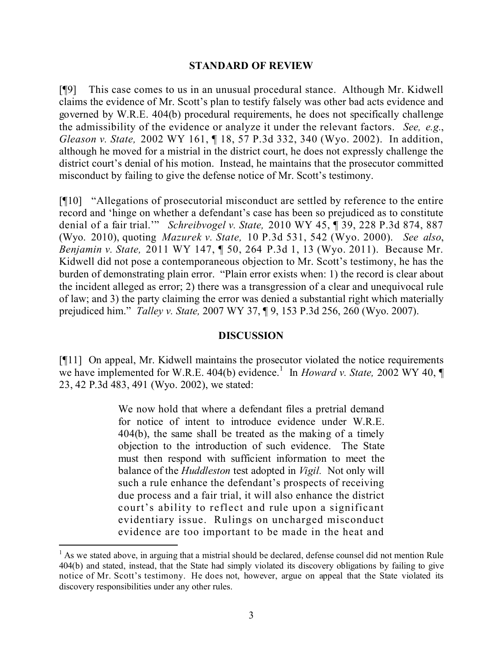#### **STANDARD OF REVIEW**

[¶9] This case comes to us in an unusual procedural stance. Although Mr. Kidwell claims the evidence of Mr. Scott's plan to testify falsely was other bad acts evidence and governed by W.R.E. 404(b) procedural requirements, he does not specifically challenge the admissibility of the evidence or analyze it under the relevant factors. *See, e.g.*, *Gleason v. State,* 2002 WY 161, ¶ 18, 57 P.3d 332, 340 (Wyo. 2002). In addition, although he moved for a mistrial in the district court, he does not expressly challenge the district court's denial of his motion. Instead, he maintains that the prosecutor committed misconduct by failing to give the defense notice of Mr. Scott's testimony.

[¶10] "Allegations of prosecutorial misconduct are settled by reference to the entire record and 'hinge on whether a defendant's case has been so prejudiced as to constitute denial of a fair trial.'" *Schreibvogel v. State,* 2010 WY 45, ¶ 39, 228 P.3d 874, 887 (Wyo. 2010), quoting *Mazurek v. State,* 10 P.3d 531, 542 (Wyo. 2000). *See also*, *Benjamin v. State,* 2011 WY 147, ¶ 50, 264 P.3d 1, 13 (Wyo. 2011). Because Mr. Kidwell did not pose a contemporaneous objection to Mr. Scott's testimony, he has the burden of demonstrating plain error. "Plain error exists when: 1) the record is clear about the incident alleged as error; 2) there was a transgression of a clear and unequivocal rule of law; and 3) the party claiming the error was denied a substantial right which materially prejudiced him." *Talley v. State,* 2007 WY 37, ¶ 9, 153 P.3d 256, 260 (Wyo. 2007).

#### **DISCUSSION**

[¶11] On appeal, Mr. Kidwell maintains the prosecutor violated the notice requirements we have implemented for W.R.E. 404(b) evidence.<sup>1</sup> In *Howard v. State,* 2002 WY 40, 23, 42 P.3d 483, 491 (Wyo. 2002), we stated:

> We now hold that where a defendant files a pretrial demand for notice of intent to introduce evidence under W.R.E. 404(b), the same shall be treated as the making of a timely objection to the introduction of such evidence. The State must then respond with sufficient information to meet the balance of the *Huddleston* test adopted in *Vigil.* Not only will such a rule enhance the defendant's prospects of receiving due process and a fair trial, it will also enhance the district court's ability to reflect and rule upon a significant evidentiary issue. Rulings on uncharged misconduct evidence are too important to be made in the heat and

 $\overline{a}$ 

 $<sup>1</sup>$  As we stated above, in arguing that a mistrial should be declared, defense counsel did not mention Rule</sup> 404(b) and stated, instead, that the State had simply violated its discovery obligations by failing to give notice of Mr. Scott's testimony. He does not, however, argue on appeal that the State violated its discovery responsibilities under any other rules.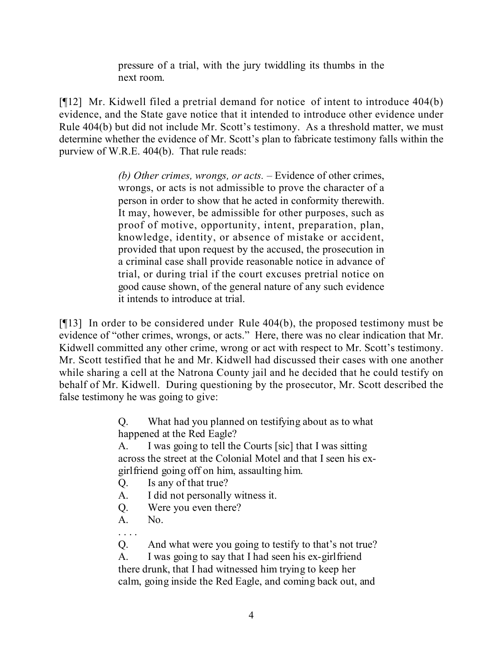pressure of a trial, with the jury twiddling its thumbs in the next room.

[¶12] Mr. Kidwell filed a pretrial demand for notice of intent to introduce 404(b) evidence, and the State gave notice that it intended to introduce other evidence under Rule 404(b) but did not include Mr. Scott's testimony. As a threshold matter, we must determine whether the evidence of Mr. Scott's plan to fabricate testimony falls within the purview of W.R.E. 404(b). That rule reads:

> *(b) Other crimes, wrongs, or acts.* – Evidence of other crimes, wrongs, or acts is not admissible to prove the character of a person in order to show that he acted in conformity therewith. It may, however, be admissible for other purposes, such as proof of motive, opportunity, intent, preparation, plan, knowledge, identity, or absence of mistake or accident, provided that upon request by the accused, the prosecution in a criminal case shall provide reasonable notice in advance of trial, or during trial if the court excuses pretrial notice on good cause shown, of the general nature of any such evidence it intends to introduce at trial.

[¶13] In order to be considered under Rule 404(b), the proposed testimony must be evidence of "other crimes, wrongs, or acts." Here, there was no clear indication that Mr. Kidwell committed any other crime, wrong or act with respect to Mr. Scott's testimony. Mr. Scott testified that he and Mr. Kidwell had discussed their cases with one another while sharing a cell at the Natrona County jail and he decided that he could testify on behalf of Mr. Kidwell. During questioning by the prosecutor, Mr. Scott described the false testimony he was going to give:

> Q. What had you planned on testifying about as to what happened at the Red Eagle?

A. I was going to tell the Courts [sic] that I was sitting across the street at the Colonial Motel and that I seen his exgirlfriend going off on him, assaulting him.

- Q. Is any of that true?
- A. I did not personally witness it.
- Q. Were you even there?
- A. No.

. . . .

Q. And what were you going to testify to that's not true?

A. I was going to say that I had seen his ex-girlfriend there drunk, that I had witnessed him trying to keep her calm, going inside the Red Eagle, and coming back out, and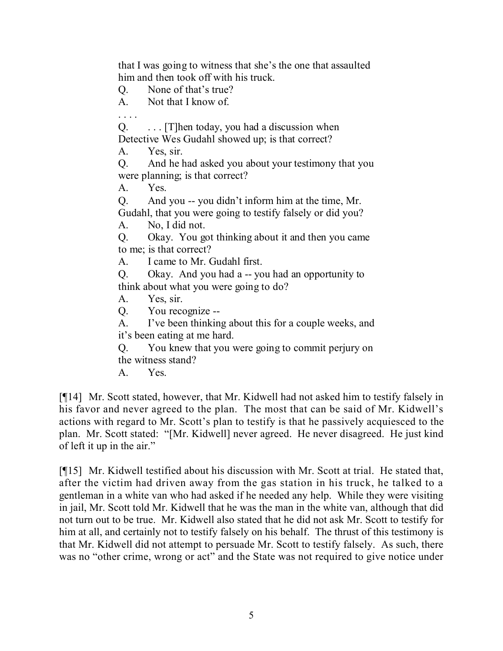that I was going to witness that she's the one that assaulted him and then took off with his truck.

Q. None of that's true?

A. Not that I know of.

. . . .

 $Q.$  ... [T] hen today, you had a discussion when Detective Wes Gudahl showed up; is that correct?

A. Yes, sir.

Q. And he had asked you about your testimony that you were planning; is that correct?

A. Yes.

Q. And you -- you didn't inform him at the time, Mr. Gudahl, that you were going to testify falsely or did you?

A. No, I did not.

Q. Okay. You got thinking about it and then you came to me; is that correct?

A. I came to Mr. Gudahl first.

Q. Okay. And you had a -- you had an opportunity to think about what you were going to do?

A. Yes, sir.

Q. You recognize --

A. I've been thinking about this for a couple weeks, and it's been eating at me hard.

Q. You knew that you were going to commit perjury on the witness stand?

A. Yes.

[¶14] Mr. Scott stated, however, that Mr. Kidwell had not asked him to testify falsely in his favor and never agreed to the plan. The most that can be said of Mr. Kidwell's actions with regard to Mr. Scott's plan to testify is that he passively acquiesced to the plan. Mr. Scott stated: "[Mr. Kidwell] never agreed. He never disagreed. He just kind of left it up in the air."

[¶15] Mr. Kidwell testified about his discussion with Mr. Scott at trial. He stated that, after the victim had driven away from the gas station in his truck, he talked to a gentleman in a white van who had asked if he needed any help. While they were visiting in jail, Mr. Scott told Mr. Kidwell that he was the man in the white van, although that did not turn out to be true. Mr. Kidwell also stated that he did not ask Mr. Scott to testify for him at all, and certainly not to testify falsely on his behalf. The thrust of this testimony is that Mr. Kidwell did not attempt to persuade Mr. Scott to testify falsely. As such, there was no "other crime, wrong or act" and the State was not required to give notice under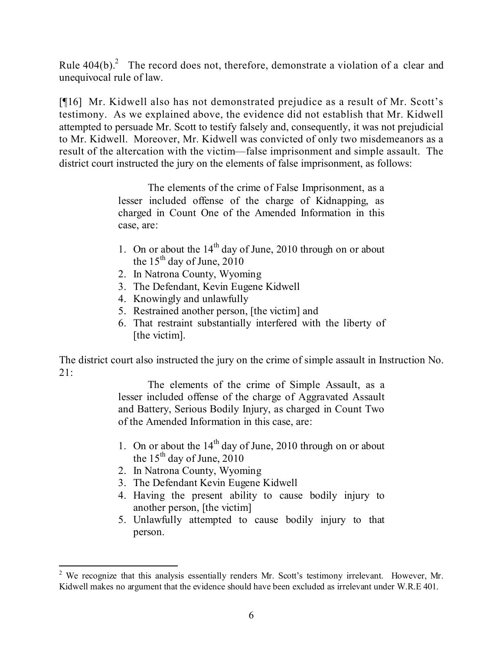Rule  $404(b)$ .<sup>2</sup> The record does not, therefore, demonstrate a violation of a clear and unequivocal rule of law.

[¶16] Mr. Kidwell also has not demonstrated prejudice as a result of Mr. Scott's testimony. As we explained above, the evidence did not establish that Mr. Kidwell attempted to persuade Mr. Scott to testify falsely and, consequently, it was not prejudicial to Mr. Kidwell. Moreover, Mr. Kidwell was convicted of only two misdemeanors as a result of the altercation with the victim—false imprisonment and simple assault. The district court instructed the jury on the elements of false imprisonment, as follows:

> The elements of the crime of False Imprisonment, as a lesser included offense of the charge of Kidnapping, as charged in Count One of the Amended Information in this case, are:

- 1. On or about the 14<sup>th</sup> day of June, 2010 through on or about the  $15<sup>th</sup>$  day of June, 2010
- 2. In Natrona County, Wyoming
- 3. The Defendant, Kevin Eugene Kidwell
- 4. Knowingly and unlawfully
- 5. Restrained another person, [the victim] and
- 6. That restraint substantially interfered with the liberty of [the victim].

The district court also instructed the jury on the crime of simple assault in Instruction No.  $21:$ 

> The elements of the crime of Simple Assault, as a lesser included offense of the charge of Aggravated Assault and Battery, Serious Bodily Injury, as charged in Count Two of the Amended Information in this case, are:

- 1. On or about the  $14<sup>th</sup>$  day of June, 2010 through on or about the  $15^{th}$  day of June, 2010
- 2. In Natrona County, Wyoming

 $\overline{a}$ 

- 3. The Defendant Kevin Eugene Kidwell
- 4. Having the present ability to cause bodily injury to another person, [the victim]
- 5. Unlawfully attempted to cause bodily injury to that person.

<sup>&</sup>lt;sup>2</sup> We recognize that this analysis essentially renders Mr. Scott's testimony irrelevant. However, Mr. Kidwell makes no argument that the evidence should have been excluded as irrelevant under W.R.E 401.